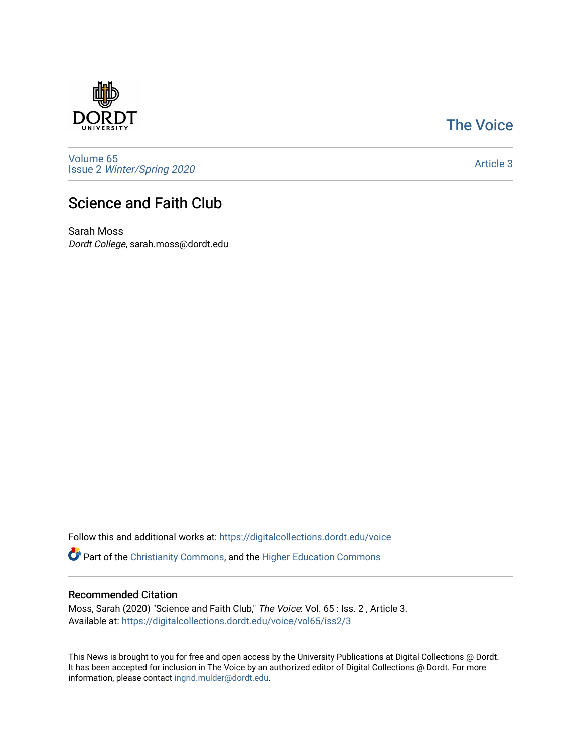

## [The Voice](https://digitalcollections.dordt.edu/voice)

[Volume 65](https://digitalcollections.dordt.edu/voice/vol65) Issue 2 [Winter/Spring 2020](https://digitalcollections.dordt.edu/voice/vol65/iss2) 

[Article 3](https://digitalcollections.dordt.edu/voice/vol65/iss2/3) 

## Science and Faith Club

Sarah Moss Dordt College, sarah.moss@dordt.edu

Follow this and additional works at: [https://digitalcollections.dordt.edu/voice](https://digitalcollections.dordt.edu/voice?utm_source=digitalcollections.dordt.edu%2Fvoice%2Fvol65%2Fiss2%2F3&utm_medium=PDF&utm_campaign=PDFCoverPages) 

Part of the [Christianity Commons,](http://network.bepress.com/hgg/discipline/1181?utm_source=digitalcollections.dordt.edu%2Fvoice%2Fvol65%2Fiss2%2F3&utm_medium=PDF&utm_campaign=PDFCoverPages) and the [Higher Education Commons](http://network.bepress.com/hgg/discipline/1245?utm_source=digitalcollections.dordt.edu%2Fvoice%2Fvol65%2Fiss2%2F3&utm_medium=PDF&utm_campaign=PDFCoverPages) 

## Recommended Citation

Moss, Sarah (2020) "Science and Faith Club," The Voice: Vol. 65 : Iss. 2 , Article 3. Available at: [https://digitalcollections.dordt.edu/voice/vol65/iss2/3](https://digitalcollections.dordt.edu/voice/vol65/iss2/3?utm_source=digitalcollections.dordt.edu%2Fvoice%2Fvol65%2Fiss2%2F3&utm_medium=PDF&utm_campaign=PDFCoverPages)

This News is brought to you for free and open access by the University Publications at Digital Collections @ Dordt. It has been accepted for inclusion in The Voice by an authorized editor of Digital Collections @ Dordt. For more information, please contact [ingrid.mulder@dordt.edu.](mailto:ingrid.mulder@dordt.edu)